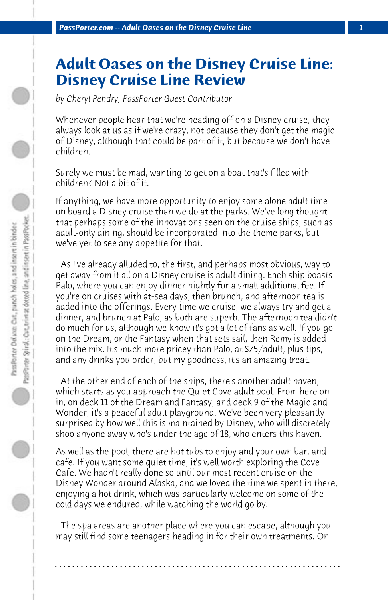## **Adult Oases on the Disney Cruise Line: Disney Cruise Line Review**

*by Cheryl Pendry, PassPorter Guest Contributor*

Whenever people hear that we're heading off on a Disney cruise, they always look at us as if we're crazy, not because they don't get the magic of Disney, although that could be part of it, but because we don't have children.

Surely we must be mad, wanting to get on a boat that's filled with children? Not a bit of it.

If anything, we have more opportunity to enjoy some alone adult time on board a Disney cruise than we do at the parks. We've long thought that perhaps some of the innovations seen on the cruise ships, such as adult-only dining, should be incorporated into the theme parks, but we've yet to see any appetite for that.

 As I've already alluded to, the first, and perhaps most obvious, way to get away from it all on a Disney cruise is adult dining. Each ship boasts Palo, where you can enjoy dinner nightly for a small additional fee. If you're on cruises with at-sea days, then brunch, and afternoon tea is added into the offerings. Every time we cruise, we always try and get a dinner, and brunch at Palo, as both are superb. The afternoon tea didn't do much for us, although we know it's got a lot of fans as well. If you go on the Dream, or the Fantasy when that sets sail, then Remy is added into the mix. It's much more pricey than Palo, at \$75/adult, plus tips, and any drinks you order, but my goodness, it's an amazing treat.

 At the other end of each of the ships, there's another adult haven, which starts as you approach the Quiet Cove adult pool. From here on in, on deck 11 of the Dream and Fantasy, and deck 9 of the Magic and Wonder, it's a peaceful adult playground. We've been very pleasantly surprised by how well this is maintained by Disney, who will discretely shoo anyone away who's under the age of 18, who enters this haven.

As well as the pool, there are hot tubs to enjoy and your own bar, and cafe. If you want some quiet time, it's well worth exploring the Cove Cafe. We hadn't really done so until our most recent cruise on the Disney Wonder around Alaska, and we loved the time we spent in there, enjoying a hot drink, which was particularly welcome on some of the cold days we endured, while watching the world go by.

 The spa areas are another place where you can escape, although you may still find some teenagers heading in for their own treatments. On

**. . . . . . . . . . . . . . . . . . . . . . . . . . . . . . . . . . . . . . . . . . . . . . . . . . . . . . . . . . . . . . . . . .**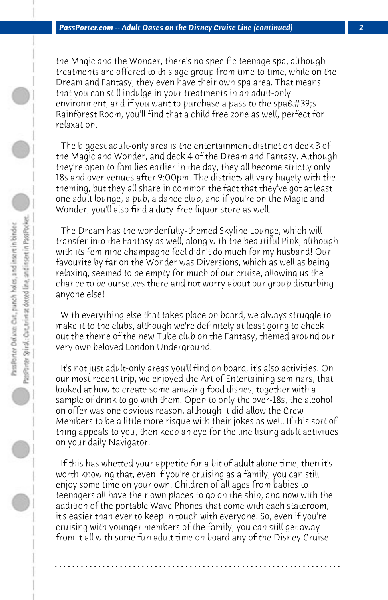the Magic and the Wonder, there's no specific teenage spa, although treatments are offered to this age group from time to time, while on the Dream and Fantasy, they even have their own spa area. That means that you can still indulge in your treatments in an adult-only environment, and if you want to purchase a pass to the spa $\&\#39$ ; Rainforest Room, you'll find that a child free zone as well, perfect for relaxation.

 The biggest adult-only area is the entertainment district on deck 3 of the Magic and Wonder, and deck 4 of the Dream and Fantasy. Although they're open to families earlier in the day, they all become strictly only 18s and over venues after 9:00pm. The districts all vary hugely with the theming, but they all share in common the fact that they've got at least one adult lounge, a pub, a dance club, and if you're on the Magic and Wonder, you'll also find a duty-free liquor store as well.

 The Dream has the wonderfully-themed Skyline Lounge, which will transfer into the Fantasy as well, along with the beautiful Pink, although with its feminine champagne feel didn't do much for my husband! Our favourite by far on the Wonder was Diversions, which as well as being relaxing, seemed to be empty for much of our cruise, allowing us the chance to be ourselves there and not worry about our group disturbing anyone else!

 With everything else that takes place on board, we always struggle to make it to the clubs, although we're definitely at least going to check out the theme of the new Tube club on the Fantasy, themed around our very own beloved London Underground.

 It's not just adult-only areas you'll find on board, it's also activities. On our most recent trip, we enjoyed the Art of Entertaining seminars, that looked at how to create some amazing food dishes, together with a sample of drink to go with them. Open to only the over-18s, the alcohol on offer was one obvious reason, although it did allow the Crew Members to be a little more risque with their jokes as well. If this sort of thing appeals to you, then keep an eye for the line listing adult activities on your daily Navigator.

 If this has whetted your appetite for a bit of adult alone time, then it's worth knowing that, even if you're cruising as a family, you can still enjoy some time on your own. Children of all ages from babies to teenagers all have their own places to go on the ship, and now with the addition of the portable Wave Phones that come with each stateroom, it's easier than ever to keep in touch with everyone. So, even if you're cruising with younger members of the family, you can still get away from it all with some fun adult time on board any of the Disney Cruise

**. . . . . . . . . . . . . . . . . . . . . . . . . . . . . . . . . . . . . . . . . . . . . . . . . . . . . . . . . . . . . . . . . .**